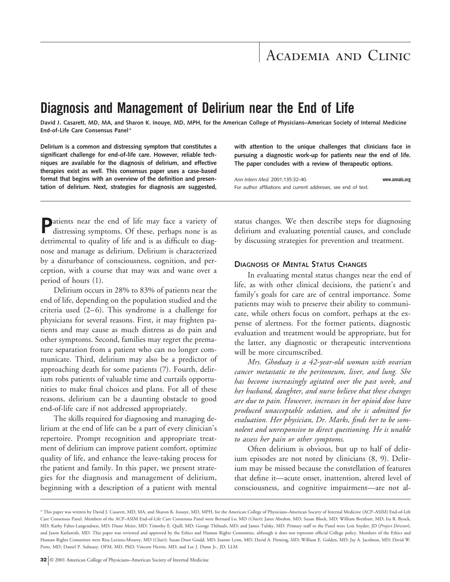# Academia and Clinic

## **Diagnosis and Management of Delirium near the End of Life**

**David J. Casarett, MD, MA, and Sharon K. Inouye, MD, MPH, for the American College of Physicians–American Society of Internal Medicine End-of-Life Care Consensus Panel**\*

**Delirium is a common and distressing symptom that constitutes a significant challenge for end-of-life care. However, reliable techniques are available for the diagnosis of delirium, and effective therapies exist as well. This consensus paper uses a case-based format that begins with an overview of the definition and presentation of delirium. Next, strategies for diagnosis are suggested,**

**P**atients near the end of life may face a variety of distressing symptoms. Of these, perhaps none is as detrimental to quality of life and is as difficult to diagnose and manage as delirium. Delirium is characterized by a disturbance of consciousness, cognition, and perception, with a course that may wax and wane over a period of hours (1).

Delirium occurs in 28% to 83% of patients near the end of life, depending on the population studied and the criteria used (2–6). This syndrome is a challenge for physicians for several reasons. First, it may frighten patients and may cause as much distress as do pain and other symptoms. Second, families may regret the premature separation from a patient who can no longer communicate. Third, delirium may also be a predictor of approaching death for some patients (7). Fourth, delirium robs patients of valuable time and curtails opportunities to make final choices and plans. For all of these reasons, delirium can be a daunting obstacle to good end-of-life care if not addressed appropriately.

The skills required for diagnosing and managing delirium at the end of life can be a part of every clinician's repertoire. Prompt recognition and appropriate treatment of delirium can improve patient comfort, optimize quality of life, and enhance the leave-taking process for the patient and family. In this paper, we present strategies for the diagnosis and management of delirium, beginning with a description of a patient with mental **with attention to the unique challenges that clinicians face in pursuing a diagnostic work-up for patients near the end of life. The paper concludes with a review of therapeutic options.**

*Ann Intern Med.* 2001;135:32-40. **www.annals.org** For author affiliations and current addresses, see end of text.

status changes. We then describe steps for diagnosing delirium and evaluating potential causes, and conclude by discussing strategies for prevention and treatment.

## **DIAGNOSIS OF MENTAL STATUS CHANGES**

In evaluating mental status changes near the end of life, as with other clinical decisions, the patient's and family's goals for care are of central importance. Some patients may wish to preserve their ability to communicate, while others focus on comfort, perhaps at the expense of alertness. For the former patients, diagnostic evaluation and treatment would be appropriate, but for the latter, any diagnostic or therapeutic interventions will be more circumscribed.

*Mrs. Ghoduay is a 42-year-old woman with ovarian cancer metastatic to the peritoneum, liver, and lung. She has become increasingly agitated over the past week, and her husband, daughter, and nurse believe that these changes are due to pain. However, increases in her opioid dose have produced unacceptable sedation, and she is admitted for evaluation. Her physician, Dr. Marks, finds her to be somnolent and unresponsive to direct questioning. He is unable to assess her pain or other symptoms.*

Often delirium is obvious, but up to half of delirium episodes are not noted by clinicians (8, 9). Delirium may be missed because the constellation of features that define it—acute onset, inattention, altered level of consciousness, and cognitive impairment—are not al-

**32** © 2001 American College of Physicians–American Society of Internal Medicine

<sup>\*</sup> This paper was written by David J. Casarett, MD, MA, and Sharon K. Inouye, MD, MPH, for the American College of Physicians–American Society of Internal Medicine (ACP–ASIM) End-of-Life Care Consensus Panel. Members of the ACP–ASIM End-of-Life Care Consensus Panel were Bernard Lo, MD (*Chair*); Janet Abrahm, MD; Susan Block, MD; William Breitbart, MD; Ira R. Byock, MD; Kathy Faber-Langendoen, MD; Diane Meier, MD; Timothy E. Quill, MD; George Thibault, MD; and James Tulsky, MD. Primary staff to the Panel were Lois Snyder, JD (*Project Director*), and Jason Karlawish, MD. This paper was reviewed and approved by the Ethics and Human Rights Committee, although it does not represent official College policy. Members of the Ethics and Human Rights Committee were Risa Lavizzo-Mourey, MD (*Chair*); Susan Door Gould, MD; Joanne Lynn, MD; David A. Fleming, MD; William E. Golden, MD; Jay A. Jacobson, MD; David W. Potts, MD; Daniel P. Sulmasy, OFM, MD, PhD; Vincent Herrin, MD; and Lee J. Dunn Jr., JD, LLM.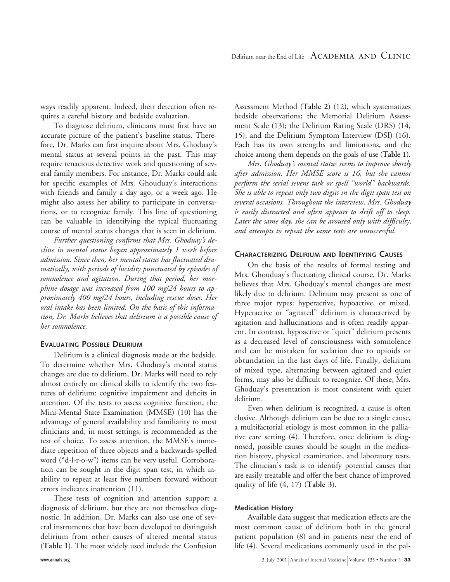ways readily apparent. Indeed, their detection often requires a careful history and bedside evaluation.

To diagnose delirium, clinicians must first have an accurate picture of the patient's baseline status. Therefore, Dr. Marks can first inquire about Mrs. Ghoduay's mental status at several points in the past. This may require tenacious detective work and questioning of several family members. For instance, Dr. Marks could ask for specific examples of Mrs. Ghouduay's interactions with friends and family a day ago, or a week ago. He might also assess her ability to participate in conversations, or to recognize family. This line of questioning can be valuable in identifying the typical fluctuating course of mental status changes that is seen in delirium.

*Further questioning confirms that Mrs. Ghoduay's decline in mental status began approximately 1 week before admission. Since then, her mental status has fluctuated dramatically, with periods of lucidity punctuated by episodes of somnolence and agitation. During that period, her morphine dosage was increased from 100 mg/24 hours to approximately 400 mg/24 hours, including rescue doses. Her oral intake has been limited. On the basis of this information, Dr. Marks believes that delirium is a possible cause of her somnolence.*

## **EVALUATING POSSIBLE DELIRIUM**

Delirium is a clinical diagnosis made at the bedside. To determine whether Mrs. Ghoduay's mental status changes are due to delirium, Dr. Marks will need to rely almost entirely on clinical skills to identify the two features of delirium: cognitive impairment and deficits in attention. Of the tests to assess cognitive function, the Mini-Mental State Examination (MMSE) (10) has the advantage of general availability and familiarity to most clinicians and, in most settings, is recommended as the test of choice. To assess attention, the MMSE's immediate repetition of three objects and a backwards-spelled word ("d-l-r-o-w") items can be very useful. Corroboration can be sought in the digit span test, in which inability to repeat at least five numbers forward without errors indicates inattention (11).

These tests of cognition and attention support a diagnosis of delirium, but they are not themselves diagnostic. In addition, Dr. Marks can also use one of several instruments that have been developed to distinguish delirium from other causes of altered mental status (**Table 1**). The most widely used include the Confusion Assessment Method (**Table 2**) (12), which systematizes bedside observations; the Memorial Delirium Assessment Scale (13); the Delirium Rating Scale (DRS) (14, 15); and the Delirium Symptom Interview (DSI) (16). Each has its own strengths and limitations, and the choice among them depends on the goals of use (**Table 1**).

*Mrs. Ghoduay's mental status seems to improve shortly after admission. Her MMSE score is 16, but she cannot perform the serial sevens task or spell "world" backwards. She is able to repeat only two digits in the digit span test on several occasions. Throughout the interview, Mrs. Ghoduay is easily distracted and often appears to drift off to sleep. Later the same day, she can be aroused only with difficulty, and attempts to repeat the same tests are unsuccessful.*

### **CHARACTERIZING DELIRIUM AND IDENTIFYING CAUSES**

On the basis of the results of formal testing and Mrs. Ghouduay's fluctuating clinical course, Dr. Marks believes that Mrs. Ghoduay's mental changes are most likely due to delirium. Delirium may present as one of three major types: hyperactive, hypoactive, or mixed. Hyperactive or "agitated" delirium is characterized by agitation and hallucinations and is often readily apparent. In contrast, hypoactive or "quiet" delirium presents as a decreased level of consciousness with somnolence and can be mistaken for sedation due to opioids or obtundation in the last days of life. Finally, delirium of mixed type, alternating between agitated and quiet forms, may also be difficult to recognize. Of these, Mrs. Ghoduay's presentation is most consistent with quiet delirium.

Even when delirium is recognized, a cause is often elusive. Although delirium can be due to a single cause, a multifactorial etiology is most common in the palliative care setting (4). Therefore, once delirium is diagnosed, possible causes should be sought in the medication history, physical examination, and laboratory tests. The clinician's task is to identify potential causes that are easily treatable and offer the best chance of improved quality of life (4, 17) (**Table 3**).

### **Medication History**

Available data suggest that medication effects are the most common cause of delirium both in the general patient population (8) and in patients near the end of life (4). Several medications commonly used in the pal-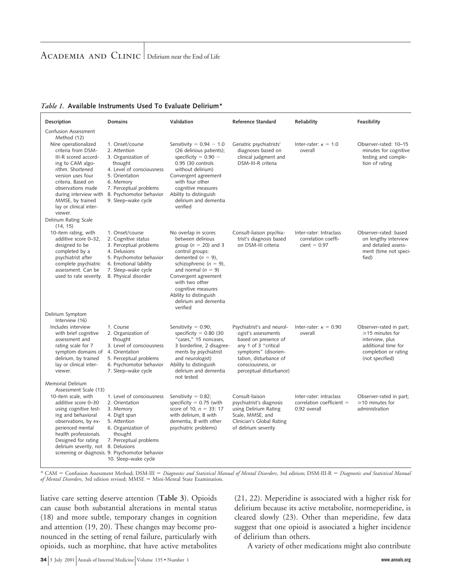### *Table 1.* **Available Instruments Used To Evaluate Delirium\***

| Description                                                                                                                                                                                                                                                                                                                  | <b>Domains</b>                                                                                                                                                                                                                  | Validation                                                                                                                                                                                                                                                                                            | <b>Reference Standard</b>                                                                                                                                                                           | Reliability                                                          | Feasibility                                                                                                                           |
|------------------------------------------------------------------------------------------------------------------------------------------------------------------------------------------------------------------------------------------------------------------------------------------------------------------------------|---------------------------------------------------------------------------------------------------------------------------------------------------------------------------------------------------------------------------------|-------------------------------------------------------------------------------------------------------------------------------------------------------------------------------------------------------------------------------------------------------------------------------------------------------|-----------------------------------------------------------------------------------------------------------------------------------------------------------------------------------------------------|----------------------------------------------------------------------|---------------------------------------------------------------------------------------------------------------------------------------|
| Confusion Assessment<br>Method (12)<br>Nine operationalized<br>criteria from DSM-<br>III-R scored accord-<br>ing to CAM algo-<br>rithm. Shortened<br>version uses four<br>criteria. Based on<br>observations made<br>during interview with<br>MMSE, by trained<br>lay or clinical inter-<br>viewer.<br>Delirium Rating Scale | 1. Onset/course<br>2. Attention<br>3. Organization of<br>thought<br>4. Level of consciousness<br>5. Orientation<br>6. Memory<br>7. Perceptual problems<br>8. Psychomotor behavior<br>9. Sleep-wake cycle                        | Sensitivity = $0.94 - 1.0$<br>(26 delirious patients);<br>specificity = $0.90 -$<br>0.95 (30 controls<br>without delirium)<br>Convergent agreement<br>with four other<br>cognitive measures<br>Ability to distinguish<br>delirium and dementia<br>verified                                            | Geriatric psychiatrists'<br>diagnoses based on<br>clinical judgment and<br>DSM-III-R criteria                                                                                                       | Inter-rater: $\kappa = 1.0$<br>overall                               | Observer-rated: 10-15<br>minutes for cognitive<br>testing and comple-<br>tion of rating                                               |
| (14, 15)<br>10-item rating, with<br>additive score 0-32,<br>designed to be<br>completed by a<br>psychiatrist after<br>complete psychiatric<br>assessment. Can be<br>used to rate severity.                                                                                                                                   | 1. Onset/course<br>2. Cognitive status<br>3. Perceptual problems<br>4. Delusions<br>5. Psychomotor behavior<br>6. Emotional lability<br>7. Sleep-wake cycle<br>8. Physical disorder                                             | No overlap in scores<br>between delirious<br>group ( $n = 20$ ) and 3<br>control groups:<br>demented $(n = 9)$ ,<br>schizophrenic ( $n = 9$ ),<br>and normal $(n = 9)$<br>Convergent agreement<br>with two other<br>cognitive measures<br>Ability to distinguish<br>delirium and dementia<br>verified | Consult-liaison psychia-<br>trist's diagnosis based<br>on DSM-III criteria                                                                                                                          | Inter-rater: Intraclass<br>correlation coeffi-<br>$cient = 0.97$     | Observer-rated: based<br>on lengthy interview<br>and detailed assess-<br>ment (time not speci-<br>fied)                               |
| Delirium Symptom<br>Interview (16)<br>Includes interview<br>with brief cognitive<br>assessment and<br>rating scale for 7<br>symptom domains of<br>delirium, by trained<br>lay or clinical inter-<br>viewer.                                                                                                                  | 1. Course<br>2. Organization of<br>thought<br>3. Level of consciousness<br>4. Orientation<br>5. Perceptual problems<br>6. Psychomotor behavior<br>7. Sleep-wake cycle                                                           | Sensitivity = $0.90$ ;<br>specificity = $0.80$ (30<br>"cases," 15 noncases,<br>3 borderline, 2 disagree-<br>ments by psychiatrist<br>and neurologist)<br>Ability to distinguish<br>delirium and dementia<br>not tested                                                                                | Psychiatrist's and neurol-<br>ogist's assessments<br>based on presence of<br>any 1 of 3 "critical<br>symptoms" (disorien-<br>tation, disturbance of<br>consciousness, or<br>perceptual disturbance) | Inter-rater: $\kappa = 0.90$<br>overall                              | Observer-rated in part;<br>$\geq$ 15 minutes for<br>interview, plus<br>additional time for<br>completion or rating<br>(not specified) |
| Memorial Delirium<br>Assessment Scale (13)<br>10-item scale, with<br>additive score 0-30<br>using cognitive test-<br>ing and behavioral<br>observations, by ex-<br>perienced mental<br>health professionals.<br>Designed for rating<br>delirium severity, not 8. Delusions                                                   | 1. Level of consciousness<br>2. Orientation<br>3. Memory<br>4. Digit span<br>5. Attention<br>6. Organization of<br>thought<br>7. Perceptual problems<br>screening or diagnosis. 9. Psychomotor behavior<br>10. Sleep-wake cycle | Sensitivity = $0.82$ ;<br>specificity = $0.75$ (with<br>score of 10; $n = 33$ : 17<br>with delirium, 8 with<br>dementia, 8 with other<br>psychiatric problems)                                                                                                                                        | Consult-liaison<br>psychiatrist's diagnosis<br>using Delirium Rating<br>Scale, MMSE, and<br>Clinician's Global Rating<br>of delirium severity                                                       | Inter-rater: intraclass<br>correlation coefficient =<br>0.92 overall | Observer-rated in part;<br>$\geq$ 10 minutes for<br>administration                                                                    |

\* CAM = Confusion Assessment Method; DSM-III = *Diagnostic and Statistical Manual of Mental Disorders*, 3rd edition; DSM-III-R = *Diagnostic and Statistical Manual of Mental Disorders*, 3rd edition revised; MMSE = Mini-Mental State Examination.

liative care setting deserve attention (**Table 3**). Opioids can cause both substantial alterations in mental status (18) and more subtle, temporary changes in cognition and attention (19, 20). These changes may become pronounced in the setting of renal failure, particularly with opioids, such as morphine, that have active metabolites

(21, 22). Meperidine is associated with a higher risk for delirium because its active metabolite, normeperidine, is cleared slowly (23). Other than meperidine, few data suggest that one opioid is associated a higher incidence of delirium than others.

A variety of other medications might also contribute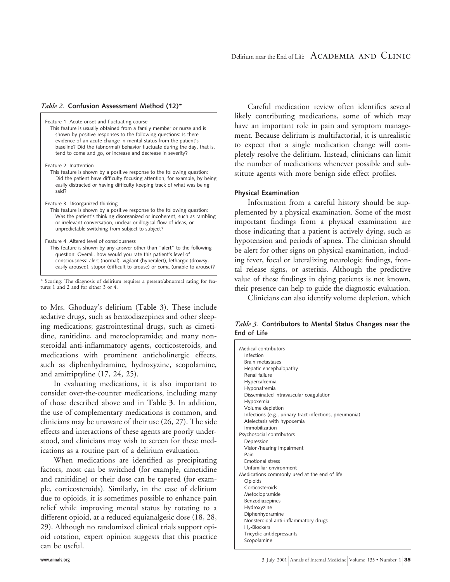#### *Table 2.* **Confusion Assessment Method (12)\***

Feature 1. Acute onset and fluctuating course

This feature is usually obtained from a family member or nurse and is shown by positive responses to the following questions: Is there evidence of an acute change in mental status from the patient's baseline? Did the (abnormal) behavior fluctuate during the day, that is, tend to come and go, or increase and decrease in severity?

Feature 2. Inattention

This feature is shown by a positive response to the following question: Did the patient have difficulty focusing attention, for example, by being easily distracted or having difficulty keeping track of what was being said?

Feature 3. Disorganized thinking

This feature is shown by a positive response to the following question: Was the patient's thinking disorganized or incoherent, such as rambling or irrelevant conversation, unclear or illogical flow of ideas, or unpredictable switching from subject to subject?

Feature 4. Altered level of consciousness

This feature is shown by any answer other than "alert" to the following question: Overall, how would you rate this patient's level of consciousness: alert (normal), vigilant (hyperalert), lethargic (drowsy, easily aroused), stupor (difficult to arouse) or coma (unable to arouse)?

to Mrs. Ghoduay's delirium (**Table 3**). These include sedative drugs, such as benzodiazepines and other sleeping medications; gastrointestinal drugs, such as cimetidine, ranitidine, and metoclopramide; and many nonsteroidal anti-inflammatory agents, corticosteroids, and medications with prominent anticholinergic effects, such as diphenhydramine, hydroxyzine, scopolamine, and amitriptyline (17, 24, 25).

In evaluating medications, it is also important to consider over-the-counter medications, including many of those described above and in **Table 3**. In addition, the use of complementary medications is common, and clinicians may be unaware of their use (26, 27). The side effects and interactions of these agents are poorly understood, and clinicians may wish to screen for these medications as a routine part of a delirium evaluation.

When medications are identified as precipitating factors, most can be switched (for example, cimetidine and ranitidine) or their dose can be tapered (for example, corticosteroids). Similarly, in the case of delirium due to opioids, it is sometimes possible to enhance pain relief while improving mental status by rotating to a different opioid, at a reduced equianalgesic dose (18, 28, 29). Although no randomized clinical trials support opioid rotation, expert opinion suggests that this practice can be useful.

Careful medication review often identifies several likely contributing medications, some of which may have an important role in pain and symptom management. Because delirium is multifactorial, it is unrealistic to expect that a single medication change will completely resolve the delirium. Instead, clinicians can limit the number of medications whenever possible and substitute agents with more benign side effect profiles.

#### **Physical Examination**

Information from a careful history should be supplemented by a physical examination. Some of the most important findings from a physical examination are those indicating that a patient is actively dying, such as hypotension and periods of apnea. The clinician should be alert for other signs on physical examination, including fever, focal or lateralizing neurologic findings, frontal release signs, or asterixis. Although the predictive value of these findings in dying patients is not known, their presence can help to guide the diagnostic evaluation.

Clinicians can also identify volume depletion, which

## *Table 3.* **Contributors to Mental Status Changes near the End of Life**

| Medical contributors<br>Infection<br>Brain metastases<br>Hepatic encephalopathy<br>Renal failure<br>Hypercalcemia<br>Hyponatremia<br>Disseminated intravascular coagulation<br>Hypoxemia<br>Volume depletion<br>Infections (e.g., urinary tract infections, pneumonia) |  |  |
|------------------------------------------------------------------------------------------------------------------------------------------------------------------------------------------------------------------------------------------------------------------------|--|--|
| Atelectasis with hypoxemia<br>Immobilization                                                                                                                                                                                                                           |  |  |
| Psychosocial contributors                                                                                                                                                                                                                                              |  |  |
| Depression<br>Vision/hearing impairment<br>Pain<br><b>Emotional stress</b><br>Unfamiliar environment                                                                                                                                                                   |  |  |
| Medications commonly used at the end of life                                                                                                                                                                                                                           |  |  |
| Opioids<br>Corticosteroids                                                                                                                                                                                                                                             |  |  |
| Metoclopramide                                                                                                                                                                                                                                                         |  |  |
| Benzodiazepines                                                                                                                                                                                                                                                        |  |  |
| Hydroxyzine<br>Diphenhydramine                                                                                                                                                                                                                                         |  |  |
| Nonsteroidal anti-inflammatory drugs                                                                                                                                                                                                                                   |  |  |
| H <sub>2</sub> -Blockers                                                                                                                                                                                                                                               |  |  |
| Tricyclic antidepressants<br>Scopolamine                                                                                                                                                                                                                               |  |  |

<sup>\*</sup> Scoring: The diagnosis of delirium requires a present/abnormal rating for features 1 and 2 and for either 3 or 4.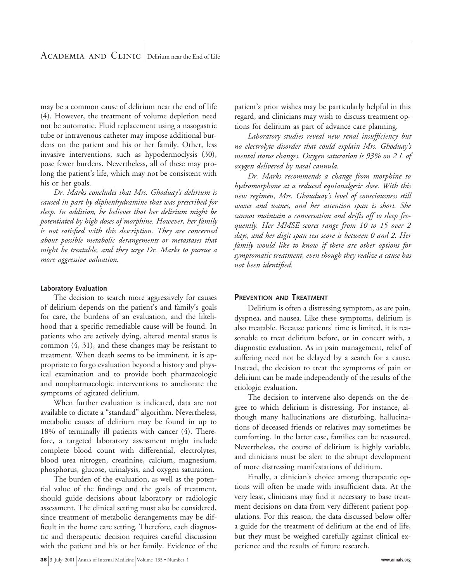## $ACADEMIA$  AND  $CLINIC$  Delirium near the End of Life

may be a common cause of delirium near the end of life (4). However, the treatment of volume depletion need not be automatic. Fluid replacement using a nasogastric tube or intravenous catheter may impose additional burdens on the patient and his or her family. Other, less invasive interventions, such as hypodermoclysis (30), pose fewer burdens. Nevertheless, all of these may prolong the patient's life, which may not be consistent with his or her goals.

*Dr. Marks concludes that Mrs. Ghoduay's delirium is caused in part by diphenhydramine that was prescribed for sleep. In addition, he believes that her delirium might be potentiated by high doses of morphine. However, her family is not satisfied with this description. They are concerned about possible metabolic derangements or metastases that might be treatable, and they urge Dr. Marks to pursue a more aggressive valuation.*

### **Laboratory Evaluation**

The decision to search more aggressively for causes of delirium depends on the patient's and family's goals for care, the burdens of an evaluation, and the likelihood that a specific remediable cause will be found. In patients who are actively dying, altered mental status is common (4, 31), and these changes may be resistant to treatment. When death seems to be imminent, it is appropriate to forgo evaluation beyond a history and physical examination and to provide both pharmacologic and nonpharmacologic interventions to ameliorate the symptoms of agitated delirium.

When further evaluation is indicated, data are not available to dictate a "standard" algorithm. Nevertheless, metabolic causes of delirium may be found in up to 18% of terminally ill patients with cancer (4). Therefore, a targeted laboratory assessment might include complete blood count with differential, electrolytes, blood urea nitrogen, creatinine, calcium, magnesium, phosphorus, glucose, urinalysis, and oxygen saturation.

The burden of the evaluation, as well as the potential value of the findings and the goals of treatment, should guide decisions about laboratory or radiologic assessment. The clinical setting must also be considered, since treatment of metabolic derangements may be difficult in the home care setting. Therefore, each diagnostic and therapeutic decision requires careful discussion with the patient and his or her family. Evidence of the patient's prior wishes may be particularly helpful in this regard, and clinicians may wish to discuss treatment options for delirium as part of advance care planning.

*Laboratory studies reveal new renal insufficiency but no electrolyte disorder that could explain Mrs. Ghoduay's mental status changes. Oxygen saturation is 93% on 2 L of oxygen delivered by nasal cannula.*

*Dr. Marks recommends a change from morphine to hydromorphone at a reduced equianalgesic dose. With this new regimen, Mrs. Ghouduay's level of consciousness still waxes and wanes, and her attention span is short. She cannot maintain a conversation and drifts off to sleep frequently. Her MMSE scores range from 10 to 15 over 2 days, and her digit span test score is between 0 and 2. Her family would like to know if there are other options for symptomatic treatment, even though they realize a cause has not been identified.*

## **PREVENTION AND TREATMENT**

Delirium is often a distressing symptom, as are pain, dyspnea, and nausea. Like these symptoms, delirium is also treatable. Because patients' time is limited, it is reasonable to treat delirium before, or in concert with, a diagnostic evaluation. As in pain management, relief of suffering need not be delayed by a search for a cause. Instead, the decision to treat the symptoms of pain or delirium can be made independently of the results of the etiologic evaluation.

The decision to intervene also depends on the degree to which delirium is distressing. For instance, although many hallucinations are disturbing, hallucinations of deceased friends or relatives may sometimes be comforting. In the latter case, families can be reassured. Nevertheless, the course of delirium is highly variable, and clinicians must be alert to the abrupt development of more distressing manifestations of delirium.

Finally, a clinician's choice among therapeutic options will often be made with insufficient data. At the very least, clinicians may find it necessary to base treatment decisions on data from very different patient populations. For this reason, the data discussed below offer a guide for the treatment of delirium at the end of life, but they must be weighed carefully against clinical experience and the results of future research.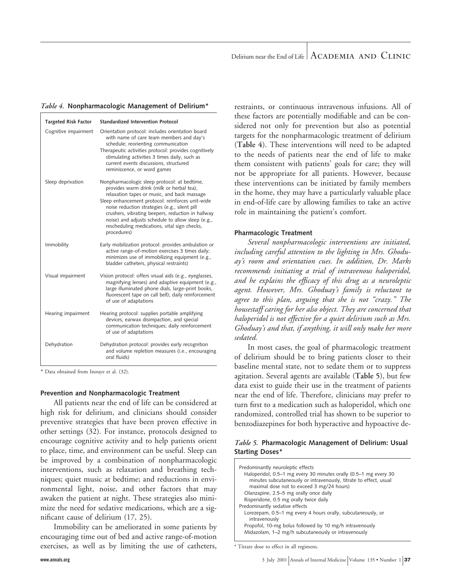#### *Table 4.* **Nonpharmacologic Management of Delirium\***

| <b>Targeted Risk Factor</b> | <b>Standardized Intervention Protocol</b>                                                                                                                                                                                                                                                                                                                                                                              |  |  |  |
|-----------------------------|------------------------------------------------------------------------------------------------------------------------------------------------------------------------------------------------------------------------------------------------------------------------------------------------------------------------------------------------------------------------------------------------------------------------|--|--|--|
| Cognitive impairment        | Orientation protocol: includes orientation board<br>with name of care team members and day's<br>schedule; reorienting communication<br>Therapeutic activities protocol: provides cognitively<br>stimulating activities 3 times daily, such as<br>current events discussions, structured<br>reminiscence, or word games                                                                                                 |  |  |  |
| Sleep deprivation           | Nonpharmacologic sleep protocol: at bedtime,<br>provides warm drink (milk or herbal tea),<br>relaxation tapes or music, and back massage<br>Sleep enhancement protocol: reinforces unit-wide<br>noise reduction strategies (e.g., silent pill<br>crushers, vibrating beepers, reduction in hallway<br>noise) and adjusts schedule to allow sleep (e.g.,<br>rescheduling medications, vital sign checks,<br>procedures) |  |  |  |
| Immobility                  | Early mobilization protocol: provides ambulation or<br>active range-of-motion exercises 3 times daily;<br>minimizes use of immobilizing equipment (e.g.,<br>bladder catheters, physical restraints)                                                                                                                                                                                                                    |  |  |  |
| Visual impairment           | Vision protocol: offers visual aids (e.g., eyeglasses,<br>magnifying lenses) and adaptive equipment (e.g.,<br>large illuminated phone dials, large-print books,<br>fluorescent tape on call bell); daily reinforcement<br>of use of adaptations                                                                                                                                                                        |  |  |  |
| Hearing impairment          | Hearing protocol: supplies portable amplifying<br>devices, earwax disimpaction, and special<br>communication techniques; daily reinforcement<br>of use of adaptations                                                                                                                                                                                                                                                  |  |  |  |
| Dehydration                 | Dehydration protocol: provides early recognition<br>and volume repletion measures (i.e., encouraging<br>oral fluids)                                                                                                                                                                                                                                                                                                   |  |  |  |

\* Data obtained from Inouye et al. (32).

#### **Prevention and Nonpharmacologic Treatment**

All patients near the end of life can be considered at high risk for delirium, and clinicians should consider preventive strategies that have been proven effective in other settings (32). For instance, protocols designed to encourage cognitive activity and to help patients orient to place, time, and environment can be useful. Sleep can be improved by a combination of nonpharmacologic interventions, such as relaxation and breathing techniques; quiet music at bedtime; and reductions in environmental light, noise, and other factors that may awaken the patient at night. These strategies also minimize the need for sedative medications, which are a significant cause of delirium (17, 25).

Immobility can be ameliorated in some patients by encouraging time out of bed and active range-of-motion exercises, as well as by limiting the use of catheters, restraints, or continuous intravenous infusions. All of these factors are potentially modifiable and can be considered not only for prevention but also as potential targets for the nonpharmacologic treatment of delirium (**Table 4**). These interventions will need to be adapted to the needs of patients near the end of life to make them consistent with patients' goals for care; they will not be appropriate for all patients. However, because these interventions can be initiated by family members in the home, they may have a particularly valuable place in end-of-life care by allowing families to take an active role in maintaining the patient's comfort.

#### **Pharmacologic Treatment**

*Several nonpharmacologic interventions are initiated, including careful attention to the lighting in Mrs. Ghoduay's room and orientation cues. In addition, Dr. Marks recommends initiating a trial of intravenous haloperidol, and he explains the efficacy of this drug as a neuroleptic agent. However, Mrs. Ghoduay's family is reluctant to agree to this plan, arguing that she is not "crazy." The housestaff caring for her also object. They are concerned that haloperidol is not effective for a quiet delirium such as Mrs. Ghoduay's and that, if anything, it will only make her more sedated.*

In most cases, the goal of pharmacologic treatment of delirium should be to bring patients closer to their baseline mental state, not to sedate them or to suppress agitation. Several agents are available (**Table 5**), but few data exist to guide their use in the treatment of patients near the end of life. Therefore, clinicians may prefer to turn first to a medication such as haloperidol, which one randomized, controlled trial has shown to be superior to benzodiazepines for both hyperactive and hypoactive de-

## *Table 5.* **Pharmacologic Management of Delirium: Usual Starting Doses\***

| Predominantly neuroleptic effects<br>Haloperidol, 0.5-1 mg every 30 minutes orally (0.5-1 mg every 30<br>minutes subcutaneously or intravenously, titrate to effect, usual<br>maximal dose not to exceed 3 mg/24 hours) |
|-------------------------------------------------------------------------------------------------------------------------------------------------------------------------------------------------------------------------|
| Olanzapine, 2.5–5 mg orally once daily                                                                                                                                                                                  |
| Risperidone, 0.5 mg orally twice daily                                                                                                                                                                                  |
| Predominantly sedative effects                                                                                                                                                                                          |
|                                                                                                                                                                                                                         |
| Lorezepam, 0.5–1 mg every 4 hours orally, subcutaneously, or<br>intravenously                                                                                                                                           |
| Propofol, 10-mg bolus followed by 10 mg/h intravenously                                                                                                                                                                 |
| Midazolam, 1-2 mg/h subcutaneously or intravenously                                                                                                                                                                     |

<sup>\*</sup> Titrate dose to effect in all regimens.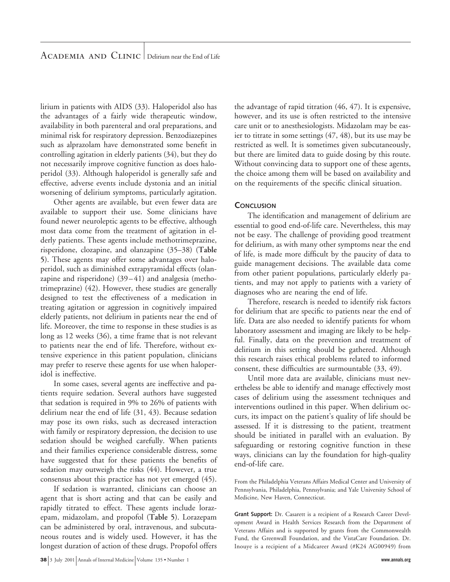lirium in patients with AIDS (33). Haloperidol also has the advantages of a fairly wide therapeutic window, availability in both parenteral and oral preparations, and minimal risk for respiratory depression. Benzodiazepines such as alprazolam have demonstrated some benefit in controlling agitation in elderly patients (34), but they do not necessarily improve cognitive function as does haloperidol (33). Although haloperidol is generally safe and effective, adverse events include dystonia and an initial worsening of delirium symptoms, particularly agitation.

Other agents are available, but even fewer data are available to support their use. Some clinicians have found newer neuroleptic agents to be effective, although most data come from the treatment of agitation in elderly patients. These agents include methotrimeprazine, risperidone, clozapine, and olanzapine (35–38) (**Table 5**). These agents may offer some advantages over haloperidol, such as diminished extrapyramidal effects (olanzapine and risperidone) (39–41) and analgesia (methotrimeprazine) (42). However, these studies are generally designed to test the effectiveness of a medication in treating agitation or aggression in cognitively impaired elderly patients, not delirium in patients near the end of life. Moreover, the time to response in these studies is as long as 12 weeks (36), a time frame that is not relevant to patients near the end of life. Therefore, without extensive experience in this patient population, clinicians may prefer to reserve these agents for use when haloperidol is ineffective.

In some cases, several agents are ineffective and patients require sedation. Several authors have suggested that sedation is required in 9% to 26% of patients with delirium near the end of life (31, 43). Because sedation may pose its own risks, such as decreased interaction with family or respiratory depression, the decision to use sedation should be weighed carefully. When patients and their families experience considerable distress, some have suggested that for these patients the benefits of sedation may outweigh the risks (44). However, a true consensus about this practice has not yet emerged (45).

If sedation is warranted, clinicians can choose an agent that is short acting and that can be easily and rapidly titrated to effect. These agents include lorazepam, midazolam, and propofol (**Table 5**). Lorazepam can be administered by oral, intravenous, and subcutaneous routes and is widely used. However, it has the longest duration of action of these drugs. Propofol offers the advantage of rapid titration (46, 47). It is expensive, however, and its use is often restricted to the intensive care unit or to anesthesiologists. Midazolam may be easier to titrate in some settings (47, 48), but its use may be restricted as well. It is sometimes given subcutaneously, but there are limited data to guide dosing by this route. Without convincing data to support one of these agents, the choice among them will be based on availability and on the requirements of the specific clinical situation.

## **CONCLUSION**

The identification and management of delirium are essential to good end-of-life care. Nevertheless, this may not be easy. The challenge of providing good treatment for delirium, as with many other symptoms near the end of life, is made more difficult by the paucity of data to guide management decisions. The available data come from other patient populations, particularly elderly patients, and may not apply to patients with a variety of diagnoses who are nearing the end of life.

Therefore, research is needed to identify risk factors for delirium that are specific to patients near the end of life. Data are also needed to identify patients for whom laboratory assessment and imaging are likely to be helpful. Finally, data on the prevention and treatment of delirium in this setting should be gathered. Although this research raises ethical problems related to informed consent, these difficulties are surmountable (33, 49).

Until more data are available, clinicians must nevertheless be able to identify and manage effectively most cases of delirium using the assessment techniques and interventions outlined in this paper. When delirium occurs, its impact on the patient's quality of life should be assessed. If it is distressing to the patient, treatment should be initiated in parallel with an evaluation. By safeguarding or restoring cognitive function in these ways, clinicians can lay the foundation for high-quality end-of-life care.

From the Philadelphia Veterans Affairs Medical Center and University of Pennsylvania, Philadelphia, Pennsylvania; and Yale University School of Medicine, New Haven, Connecticut.

**Grant Support:** Dr. Casarett is a recipient of a Research Career Development Award in Health Services Research from the Department of Veterans Affairs and is supported by grants from the Commonwealth Fund, the Greenwall Foundation, and the VistaCare Foundation. Dr. Inouye is a recipient of a Midcareer Award (#K24 AG00949) from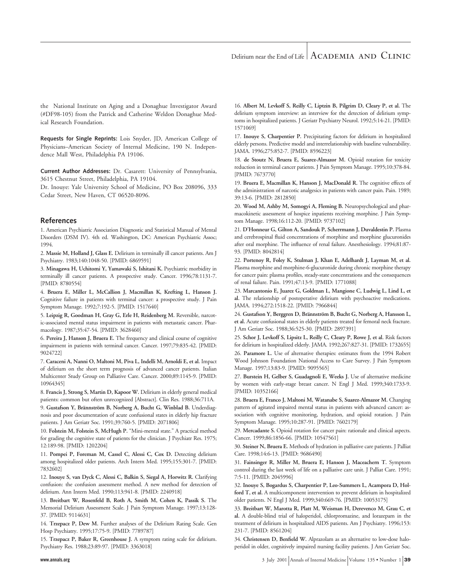the National Institute on Aging and a Donaghue Investigator Award (#DF98-105) from the Patrick and Catherine Weldon Donaghue Medical Research Foundation.

**Requests for Single Reprints:** Lois Snyder, JD, American College of Physicians–American Society of Internal Medicine, 190 N. Independence Mall West, Philadelphia PA 19106.

**Current Author Addresses:** Dr. Casarett: University of Pennsylvania, 3615 Chestnut Street, Philadelphia, PA 19104.

Dr. Inouye: Yale University School of Medicine, PO Box 208096, 333 Cedar Street, New Haven, CT 06520-8096.

## **References**

1. American Psychiatric Association Diagnostic and Statistical Manual of Mental Disorders (DSM IV). 4th ed. Washington, DC: American Psychiatric Assoc; 1994.

2. **Massie M, Holland J, Glass E.** Delirium in terminally ill cancer patients. Am J Psychiatry. 1983;140:1048-50. [PMID: 6869591]

3. **Minagawa H, Uchitomi Y, Yamawaki S, Ishitani K.** Psychiatric morbidity in terminally ill cancer patients. A prospective study. Cancer. 1996;78:1131-7. [PMID: 8780554]

4. **Bruera E, Miller L, McCallion J, Macmillan K, Krefting L, Hanson J.** Cognitive failure in patients with terminal cancer: a prospective study. J Pain Symptom Manage. 1992;7:192-5. [PMID: 1517640]

5. **Leipzig R, Goodman H, Gray G, Erle H, Reidenberg M.** Reversible, narcotic-associated mental status impairment in patients with metastatic cancer. Pharmacology. 1987;35:47-54. [PMID: 3628460]

6. **Pereira J, Hanson J, Bruera E.** The frequency and clinical course of cognitive impairment in patients with terminal cancer. Cancer. 1997;79:835-42. [PMID: 9024722]

7. **Caraceni A, Nanni O, Maltoni M, Piva L, Indelli M, Arnoldi E, et al.** Impact of delirium on the short term prognosis of advanced cancer patients. Italian Multicenter Study Group on Palliative Care. Cancer. 2000;89:1145-9. [PMID: 10964345]

8. **Francis J, Strong S, Martin D, Kapoor W.** Delirium in elderly general medical patients: common but often unrecognized [Abstract]. Clin Res. 1988;36:711A.

9. Gustafson Y, Brännström B, Norberg A, Bucht G, Winblad B. Underdiagnosis and poor documentation of acute confusional states in elderly hip fracture patients. J Am Geriatr Soc. 1991;39:760-5. [PMID: 2071806]

10. **Folstein M, Folstein S, McHugh P.** "Mini-mental state." A practical method for grading the cognitive state of patients for the clinician. J Psychiatr Res. 1975; 12:189-98. [PMID: 1202204]

11. **Pompei P, Foreman M, Cassel C, Alessi C, Cox D.** Detecting delirium among hospitalized older patients. Arch Intern Med. 1995;155:301-7. [PMID: 7832602]

12. **Inouye S, van Dyck C, Alessi C, Balkin S, Siegal A, Horwitz R.** Clarifying confusion: the confusion assessment method. A new method for detection of delirium. Ann Intern Med. 1990;113:941-8. [PMID: 2240918]

13. **Breitbart W, Rosenfeld B, Roth A, Smith M, Cohen K, Passik S.** The Memorial Delirium Assessment Scale. J Pain Symptom Manage. 1997;13:128- 37. [PMID: 9114631]

14. **Trzepacz P, Dew M.** Further analyses of the Delirium Rating Scale. Gen Hosp Psychiatry. 1995;17:75-9. [PMID: 7789787]

15. **Trzepacz P, Baker R, Greenhouse J.** A symptom rating scale for delirium. Psychiatry Res. 1988;23:89-97. [PMID: 3363018]

16. **Albert M, Levkoff S, Reilly C, Liptzin B, Pilgrim D, Cleary P, et al.** The delirium symptom interview: an interview for the detection of delirium symptoms in hospitalized patients. J Geriatr Psychiatry Neurol. 1992;5:14-21. [PMID: 1571069]

17. **Inouye S, Charpentier P.** Precipitating factors for delirium in hospitalized elderly persons. Predictive model and interrelationship with baseline vulnerability. JAMA. 1996;275:852-7. [PMID: 8596223]

18. **de Stoutz N, Bruera E, Suarez-Almazor M.** Opioid rotation for toxicity reduction in terminal cancer patients. J Pain Symptom Manage. 1995;10:378-84. [PMID: 7673770]

19. **Bruera E, Macmillan K, Hanson J, MacDonald R.** The cognitive effects of the administration of narcotic analgesics in patients with cancer pain. Pain. 1989; 39:13-6. [PMID: 2812850]

20. **Wood M, Ashby M, Somogyi A, Fleming B.** Neuropsychological and pharmacokinetic assessment of hospice inpatients receiving morphine. J Pain Symptom Manage. 1998;16:112-20. [PMID: 9737102]

21. **D'Honneur G, Gilton A, Sandouk P, Scherrmann J, Duvaldestin P.** Plasma and cerebrospinal fluid concentrations of morphine and morphine glucuronides after oral morphine. The influence of renal failure. Anesthesiology. 1994;81:87- 93. [PMID: 8042814]

22. **Portenoy R, Foley K, Stulman J, Khan E, Adelhardt J, Layman M, et al.** Plasma morphine and morphine-6-glucuronide during chronic morphine therapy for cancer pain: plasma profiles, steady-state concentrations and the consequences of renal failure. Pain. 1991;47:13-9. [PMID: 1771088]

23. **Marcantonio E, Juarez G, Goldman L, Mangione C, Ludwig L, Lind L, et al.** The relationship of postoperative delirium with psychoactive medications. JAMA. 1994;272:1518-22. [PMID: 7966844]

24. Gustafson Y, Berggren D, Brännström B, Bucht G, Norberg A, Hansson L, **et al.** Acute confusional states in elderly patients treated for femoral neck fracture. J Am Geriatr Soc. 1988;36:525-30. [PMID: 2897391]

25. **Schor J, Levkoff S, Lipsitz L, Reilly C, Cleary P, Rowe J, et al.** Risk factors for delirium in hospitalized elderly. JAMA. 1992;267:827-31. [PMID: 1732655]

26. **Paramore L.** Use of alternative therapies: estimates from the 1994 Robert Wood Johnson Foundation National Access to Care Survey. J Pain Symptom Manage. 1997;13:83-9. [PMID: 9095565]

27. **Burstein H, Gelber S, Guadagnoli E, Weeks J.** Use of alternative medicine by women with early-stage breast cancer. N Engl J Med. 1999;340:1733-9. [PMID: 10352166]

28. **Bruera E, Franco J, Maltoni M, Watanabe S, Suarez-Almazor M.** Changing pattern of agitated impaired mental status in patients with advanced cancer: association with cognitive monitoring, hydration, and opioid rotation. J Pain Symptom Manage. 1995;10:287-91. [PMID: 7602179]

29. **Mercadante S.** Opioid rotation for cancer pain: rationale and clinical aspects. Cancer. 1999;86:1856-66. [PMID: 10547561]

30. **Steiner N, Bruera E.** Methods of hydration in palliative care patients. J Palliat Care. 1998;14:6-13. [PMID: 9686490]

31. **Fainsinger R, Miller M, Bruera E, Hanson J, Maceachern T.** Symptom control during the last week of life on a palliative care unit. J Palliat Care. 1991; 7:5-11. [PMID: 2045996]

32. **Inouye S, Bogardus S, Charpentier P, Leo-Summers L, Acampora D, Holford T, et al.** A multicomponent intervention to prevent delirium in hospitalized older patients. N Engl J Med. 1999;340:669-76. [PMID: 10053175]

33. **Breitbart W, Marotta R, Platt M, Weisman H, Derevenco M, Grau C, et al.** A double-blind trial of haloperidol, chlorpromazine, and lorazepam in the treatment of delirium in hospitalized AIDS patients. Am J Psychiatry. 1996;153: 231-7. [PMID: 8561204]

34. **Christensen D, Benfield W.** Alprazolam as an alternative to low-dose haloperidol in older, cognitively impaired nursing facility patients. J Am Geriatr Soc.